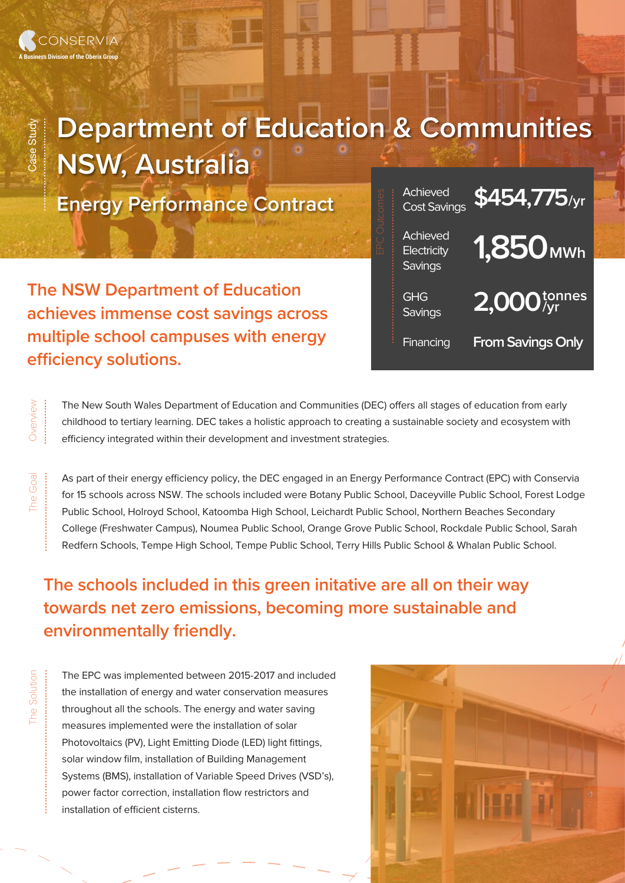Overview ................

Overview

Case Study

Case Study

.................................

The Goal ............................

The Solution

...................................................

## **Department of Education & Communities NSW, Australia**

**Energy Performance Contract**

**The NSW Department of Education achieves immense cost savings across multiple school campuses with energy efficiency solutions.** 



The New South Wales Department of Education and Communities (DEC) offers all stages of education from early childhood to tertiary learning. DEC takes a holistic approach to creating a sustainable society and ecosystem with efficiency integrated within their development and investment strategies.

As part of their energy efficiency policy, the DEC engaged in an Energy Performance Contract (EPC) with Conservia for 15 schools across NSW. The schools included were Botany Public School, Daceyville Public School, Forest Lodge Public School, Holroyd School, Katoomba High School, Leichardt Public School, Northern Beaches Secondary College (Freshwater Campus), Noumea Public School, Orange Grove Public School, Rockdale Public School, Sarah Redfern Schools, Tempe High School, Tempe Public School, Terry Hills Public School & Whalan Public School.

**The schools included in this green initative are all on their way towards net zero emissions, becoming more sustainable and environmentally friendly.** 

The EPC was implemented between 2015-2017 and included the installation of energy and water conservation measures throughout all the schools. The energy and water saving measures implemented were the installation of solar Photovoltaics (PV), Light Emitting Diode (LED) light fittings, solar window film, installation of Building Management Systems (BMS), installation of Variable Speed Drives (VSD's), power factor correction, installation flow restrictors and installation of efficient cisterns.